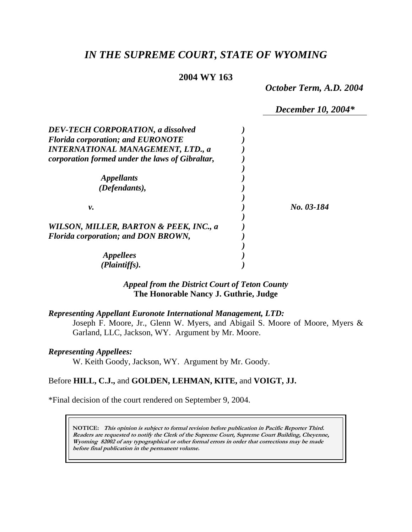# *IN THE SUPREME COURT, STATE OF WYOMING*

## **2004 WY 163**

*October Term, A.D. 2004* 

*December 10, 2004\** 

| <b>DEV-TECH CORPORATION, a dissolved</b>        |            |
|-------------------------------------------------|------------|
| <b>Florida corporation; and EURONOTE</b>        |            |
| <b>INTERNATIONAL MANAGEMENT, LTD., a</b>        |            |
| corporation formed under the laws of Gibraltar, |            |
|                                                 |            |
| <i>Appellants</i>                               |            |
| (Defendants),                                   |            |
| ν.                                              | No. 03-184 |
| WILSON, MILLER, BARTON & PEEK, INC., a          |            |
| <b>Florida corporation; and DON BROWN,</b>      |            |
|                                                 |            |
| <i>Appellees</i>                                |            |
| (Plaintiffs).                                   |            |

# *Appeal from the District Court of Teton County* **The Honorable Nancy J. Guthrie, Judge**

#### *Representing Appellant Euronote International Management, LTD:*

Joseph F. Moore, Jr., Glenn W. Myers, and Abigail S. Moore of Moore, Myers & Garland, LLC, Jackson, WY. Argument by Mr. Moore.

#### *Representing Appellees:*

W. Keith Goody, Jackson, WY. Argument by Mr. Goody.

## Before **HILL, C.J.,** and **GOLDEN, LEHMAN, KITE,** and **VOIGT, JJ.**

\*Final decision of the court rendered on September 9, 2004.

**NOTICE: This opinion is subject to formal revision before publication in Pacific Reporter Third. Readers are requested to notify the Clerk of the Supreme Court, Supreme Court Building, Cheyenne, Wyoming 82002 of any typographical or other formal errors in order that corrections may be made before final publication in the permanent volume.**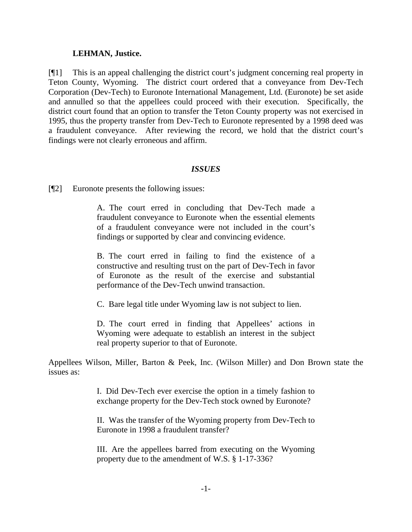## **LEHMAN, Justice.**

[¶1] This is an appeal challenging the district court's judgment concerning real property in Teton County, Wyoming. The district court ordered that a conveyance from Dev-Tech Corporation (Dev-Tech) to Euronote International Management, Ltd. (Euronote) be set aside and annulled so that the appellees could proceed with their execution. Specifically, the district court found that an option to transfer the Teton County property was not exercised in 1995, thus the property transfer from Dev-Tech to Euronote represented by a 1998 deed was a fraudulent conveyance. After reviewing the record, we hold that the district court's findings were not clearly erroneous and affirm.

### *ISSUES*

[¶2] Euronote presents the following issues:

A. The court erred in concluding that Dev-Tech made a fraudulent conveyance to Euronote when the essential elements of a fraudulent conveyance were not included in the court's findings or supported by clear and convincing evidence.

B. The court erred in failing to find the existence of a constructive and resulting trust on the part of Dev-Tech in favor of Euronote as the result of the exercise and substantial performance of the Dev-Tech unwind transaction.

C. Bare legal title under Wyoming law is not subject to lien.

D. The court erred in finding that Appellees' actions in Wyoming were adequate to establish an interest in the subject real property superior to that of Euronote.

Appellees Wilson, Miller, Barton & Peek, Inc. (Wilson Miller) and Don Brown state the issues as:

> I. Did Dev-Tech ever exercise the option in a timely fashion to exchange property for the Dev-Tech stock owned by Euronote?

> II. Was the transfer of the Wyoming property from Dev-Tech to Euronote in 1998 a fraudulent transfer?

> III. Are the appellees barred from executing on the Wyoming property due to the amendment of W.S. § 1-17-336?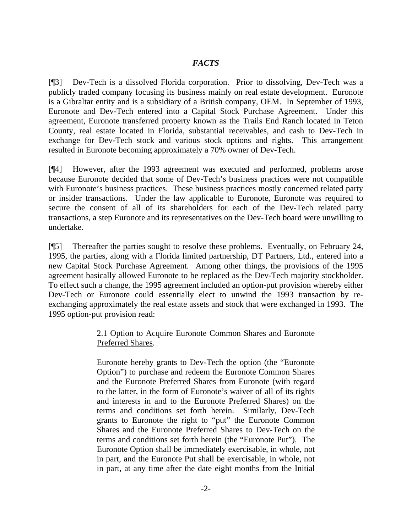## *FACTS*

[¶3] Dev-Tech is a dissolved Florida corporation. Prior to dissolving, Dev-Tech was a publicly traded company focusing its business mainly on real estate development. Euronote is a Gibraltar entity and is a subsidiary of a British company, OEM. In September of 1993, Euronote and Dev-Tech entered into a Capital Stock Purchase Agreement. Under this agreement, Euronote transferred property known as the Trails End Ranch located in Teton County, real estate located in Florida, substantial receivables, and cash to Dev-Tech in exchange for Dev-Tech stock and various stock options and rights. This arrangement resulted in Euronote becoming approximately a 70% owner of Dev-Tech.

[¶4] However, after the 1993 agreement was executed and performed, problems arose because Euronote decided that some of Dev-Tech's business practices were not compatible with Euronote's business practices. These business practices mostly concerned related party or insider transactions. Under the law applicable to Euronote, Euronote was required to secure the consent of all of its shareholders for each of the Dev-Tech related party transactions, a step Euronote and its representatives on the Dev-Tech board were unwilling to undertake.

[¶5] Thereafter the parties sought to resolve these problems. Eventually, on February 24, 1995, the parties, along with a Florida limited partnership, DT Partners, Ltd., entered into a new Capital Stock Purchase Agreement. Among other things, the provisions of the 1995 agreement basically allowed Euronote to be replaced as the Dev-Tech majority stockholder. To effect such a change, the 1995 agreement included an option-put provision whereby either Dev-Tech or Euronote could essentially elect to unwind the 1993 transaction by reexchanging approximately the real estate assets and stock that were exchanged in 1993. The 1995 option-put provision read:

# 2.1 Option to Acquire Euronote Common Shares and Euronote Preferred Shares.

Euronote hereby grants to Dev-Tech the option (the "Euronote Option") to purchase and redeem the Euronote Common Shares and the Euronote Preferred Shares from Euronote (with regard to the latter, in the form of Euronote's waiver of all of its rights and interests in and to the Euronote Preferred Shares) on the terms and conditions set forth herein. Similarly, Dev-Tech grants to Euronote the right to "put" the Euronote Common Shares and the Euronote Preferred Shares to Dev-Tech on the terms and conditions set forth herein (the "Euronote Put"). The Euronote Option shall be immediately exercisable, in whole, not in part, and the Euronote Put shall be exercisable, in whole, not in part, at any time after the date eight months from the Initial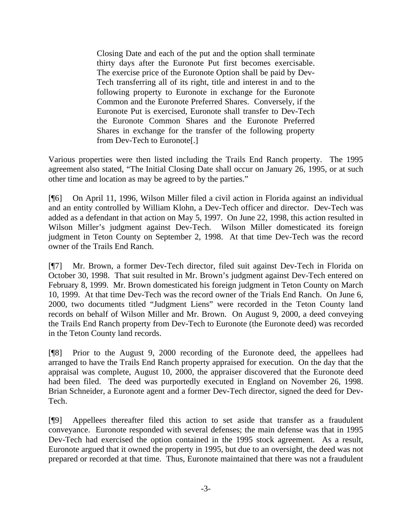Closing Date and each of the put and the option shall terminate thirty days after the Euronote Put first becomes exercisable. The exercise price of the Euronote Option shall be paid by Dev-Tech transferring all of its right, title and interest in and to the following property to Euronote in exchange for the Euronote Common and the Euronote Preferred Shares. Conversely, if the Euronote Put is exercised, Euronote shall transfer to Dev-Tech the Euronote Common Shares and the Euronote Preferred Shares in exchange for the transfer of the following property from Dev-Tech to Euronote[.]

Various properties were then listed including the Trails End Ranch property. The 1995 agreement also stated, "The Initial Closing Date shall occur on January 26, 1995, or at such other time and location as may be agreed to by the parties."

[¶6] On April 11, 1996, Wilson Miller filed a civil action in Florida against an individual and an entity controlled by William Klohn, a Dev-Tech officer and director. Dev-Tech was added as a defendant in that action on May 5, 1997. On June 22, 1998, this action resulted in Wilson Miller's judgment against Dev-Tech. Wilson Miller domesticated its foreign judgment in Teton County on September 2, 1998. At that time Dev-Tech was the record owner of the Trails End Ranch.

[¶7] Mr. Brown, a former Dev-Tech director, filed suit against Dev-Tech in Florida on October 30, 1998. That suit resulted in Mr. Brown's judgment against Dev-Tech entered on February 8, 1999. Mr. Brown domesticated his foreign judgment in Teton County on March 10, 1999. At that time Dev-Tech was the record owner of the Trials End Ranch. On June 6, 2000, two documents titled "Judgment Liens" were recorded in the Teton County land records on behalf of Wilson Miller and Mr. Brown. On August 9, 2000, a deed conveying the Trails End Ranch property from Dev-Tech to Euronote (the Euronote deed) was recorded in the Teton County land records.

[¶8] Prior to the August 9, 2000 recording of the Euronote deed, the appellees had arranged to have the Trails End Ranch property appraised for execution. On the day that the appraisal was complete, August 10, 2000, the appraiser discovered that the Euronote deed had been filed. The deed was purportedly executed in England on November 26, 1998. Brian Schneider, a Euronote agent and a former Dev-Tech director, signed the deed for Dev-Tech.

[¶9] Appellees thereafter filed this action to set aside that transfer as a fraudulent conveyance. Euronote responded with several defenses; the main defense was that in 1995 Dev-Tech had exercised the option contained in the 1995 stock agreement. As a result, Euronote argued that it owned the property in 1995, but due to an oversight, the deed was not prepared or recorded at that time. Thus, Euronote maintained that there was not a fraudulent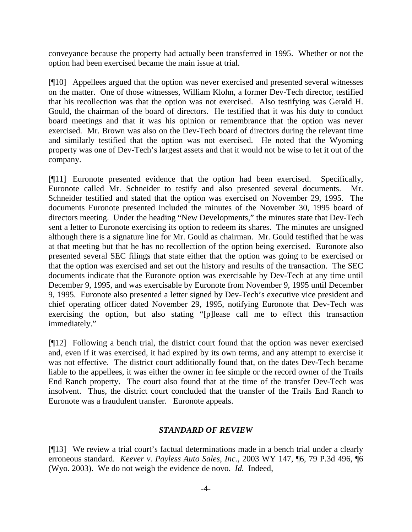conveyance because the property had actually been transferred in 1995. Whether or not the option had been exercised became the main issue at trial.

[¶10] Appellees argued that the option was never exercised and presented several witnesses on the matter. One of those witnesses, William Klohn, a former Dev-Tech director, testified that his recollection was that the option was not exercised. Also testifying was Gerald H. Gould, the chairman of the board of directors. He testified that it was his duty to conduct board meetings and that it was his opinion or remembrance that the option was never exercised. Mr. Brown was also on the Dev-Tech board of directors during the relevant time and similarly testified that the option was not exercised. He noted that the Wyoming property was one of Dev-Tech's largest assets and that it would not be wise to let it out of the company.

[¶11] Euronote presented evidence that the option had been exercised. Specifically, Euronote called Mr. Schneider to testify and also presented several documents. Mr. Schneider testified and stated that the option was exercised on November 29, 1995. The documents Euronote presented included the minutes of the November 30, 1995 board of directors meeting. Under the heading "New Developments," the minutes state that Dev-Tech sent a letter to Euronote exercising its option to redeem its shares. The minutes are unsigned although there is a signature line for Mr. Gould as chairman. Mr. Gould testified that he was at that meeting but that he has no recollection of the option being exercised. Euronote also presented several SEC filings that state either that the option was going to be exercised or that the option was exercised and set out the history and results of the transaction. The SEC documents indicate that the Euronote option was exercisable by Dev-Tech at any time until December 9, 1995, and was exercisable by Euronote from November 9, 1995 until December 9, 1995. Euronote also presented a letter signed by Dev-Tech's executive vice president and chief operating officer dated November 29, 1995, notifying Euronote that Dev-Tech was exercising the option, but also stating "[p]lease call me to effect this transaction immediately."

[¶12] Following a bench trial, the district court found that the option was never exercised and, even if it was exercised, it had expired by its own terms, and any attempt to exercise it was not effective. The district court additionally found that, on the dates Dev-Tech became liable to the appellees, it was either the owner in fee simple or the record owner of the Trails End Ranch property. The court also found that at the time of the transfer Dev-Tech was insolvent. Thus, the district court concluded that the transfer of the Trails End Ranch to Euronote was a fraudulent transfer. Euronote appeals.

### *STANDARD OF REVIEW*

[¶13] We review a trial court's factual determinations made in a bench trial under a clearly erroneous standard. *Keever v. Payless Auto Sales, Inc.*, 2003 WY 147, ¶6, 79 P.3d 496, ¶6 (Wyo. 2003). We do not weigh the evidence de novo. *Id.* Indeed,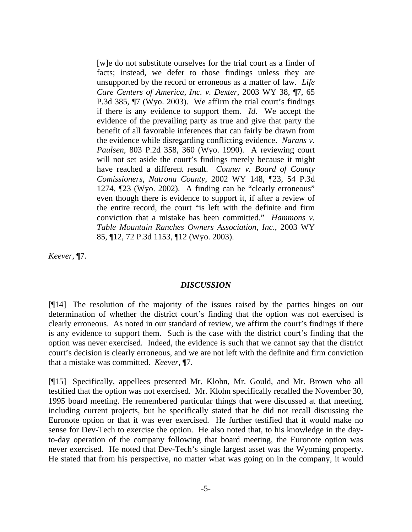[w]e do not substitute ourselves for the trial court as a finder of facts; instead, we defer to those findings unless they are unsupported by the record or erroneous as a matter of law. *Life Care Centers of America, Inc. v. Dexter*, 2003 WY 38, ¶7, 65 P.3d 385, ¶7 (Wyo. 2003). We affirm the trial court's findings if there is any evidence to support them. *Id*. We accept the evidence of the prevailing party as true and give that party the benefit of all favorable inferences that can fairly be drawn from the evidence while disregarding conflicting evidence. *Narans v. Paulsen*, 803 P.2d 358, 360 (Wyo. 1990). A reviewing court will not set aside the court's findings merely because it might have reached a different result. *Conner v. Board of County Comissioners, Natrona County*, 2002 WY 148, ¶23, 54 P.3d 1274, ¶23 (Wyo. 2002). A finding can be "clearly erroneous" even though there is evidence to support it, if after a review of the entire record, the court "is left with the definite and firm conviction that a mistake has been committed." *Hammons v. Table Mountain Ranches Owners Association, Inc*., 2003 WY 85, ¶12, 72 P.3d 1153, ¶12 (Wyo. 2003).

*Keever*, ¶7.

### *DISCUSSION*

[¶14] The resolution of the majority of the issues raised by the parties hinges on our determination of whether the district court's finding that the option was not exercised is clearly erroneous. As noted in our standard of review, we affirm the court's findings if there is any evidence to support them. Such is the case with the district court's finding that the option was never exercised. Indeed, the evidence is such that we cannot say that the district court's decision is clearly erroneous, and we are not left with the definite and firm conviction that a mistake was committed. *Keever*, ¶7.

[¶15] Specifically, appellees presented Mr. Klohn, Mr. Gould, and Mr. Brown who all testified that the option was not exercised. Mr. Klohn specifically recalled the November 30, 1995 board meeting. He remembered particular things that were discussed at that meeting, including current projects, but he specifically stated that he did not recall discussing the Euronote option or that it was ever exercised. He further testified that it would make no sense for Dev-Tech to exercise the option. He also noted that, to his knowledge in the dayto-day operation of the company following that board meeting, the Euronote option was never exercised. He noted that Dev-Tech's single largest asset was the Wyoming property. He stated that from his perspective, no matter what was going on in the company, it would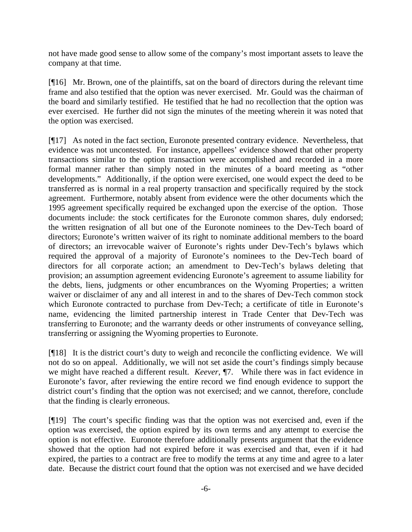not have made good sense to allow some of the company's most important assets to leave the company at that time.

[¶16] Mr. Brown, one of the plaintiffs, sat on the board of directors during the relevant time frame and also testified that the option was never exercised. Mr. Gould was the chairman of the board and similarly testified. He testified that he had no recollection that the option was ever exercised. He further did not sign the minutes of the meeting wherein it was noted that the option was exercised.

[¶17] As noted in the fact section, Euronote presented contrary evidence. Nevertheless, that evidence was not uncontested. For instance, appellees' evidence showed that other property transactions similar to the option transaction were accomplished and recorded in a more formal manner rather than simply noted in the minutes of a board meeting as "other developments." Additionally, if the option were exercised, one would expect the deed to be transferred as is normal in a real property transaction and specifically required by the stock agreement. Furthermore, notably absent from evidence were the other documents which the 1995 agreement specifically required be exchanged upon the exercise of the option. Those documents include: the stock certificates for the Euronote common shares, duly endorsed; the written resignation of all but one of the Euronote nominees to the Dev-Tech board of directors; Euronote's written waiver of its right to nominate additional members to the board of directors; an irrevocable waiver of Euronote's rights under Dev-Tech's bylaws which required the approval of a majority of Euronote's nominees to the Dev-Tech board of directors for all corporate action; an amendment to Dev-Tech's bylaws deleting that provision; an assumption agreement evidencing Euronote's agreement to assume liability for the debts, liens, judgments or other encumbrances on the Wyoming Properties; a written waiver or disclaimer of any and all interest in and to the shares of Dev-Tech common stock which Euronote contracted to purchase from Dev-Tech; a certificate of title in Euronote's name, evidencing the limited partnership interest in Trade Center that Dev-Tech was transferring to Euronote; and the warranty deeds or other instruments of conveyance selling, transferring or assigning the Wyoming properties to Euronote.

[¶18] It is the district court's duty to weigh and reconcile the conflicting evidence. We will not do so on appeal. Additionally, we will not set aside the court's findings simply because we might have reached a different result. *Keever*, ¶7. While there was in fact evidence in Euronote's favor, after reviewing the entire record we find enough evidence to support the district court's finding that the option was not exercised; and we cannot, therefore, conclude that the finding is clearly erroneous.

[¶19] The court's specific finding was that the option was not exercised and, even if the option was exercised, the option expired by its own terms and any attempt to exercise the option is not effective. Euronote therefore additionally presents argument that the evidence showed that the option had not expired before it was exercised and that, even if it had expired, the parties to a contract are free to modify the terms at any time and agree to a later date. Because the district court found that the option was not exercised and we have decided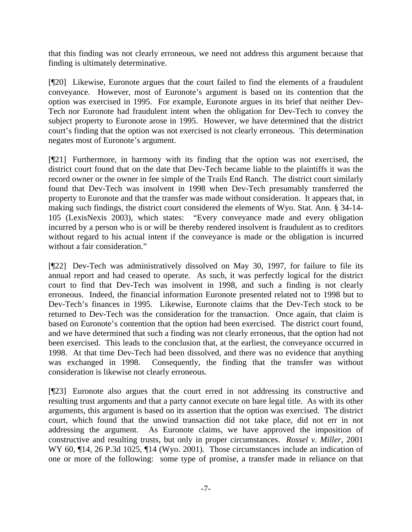that this finding was not clearly erroneous, we need not address this argument because that finding is ultimately determinative.

[¶20] Likewise, Euronote argues that the court failed to find the elements of a fraudulent conveyance. However, most of Euronote's argument is based on its contention that the option was exercised in 1995. For example, Euronote argues in its brief that neither Dev-Tech nor Euronote had fraudulent intent when the obligation for Dev-Tech to convey the subject property to Euronote arose in 1995. However, we have determined that the district court's finding that the option was not exercised is not clearly erroneous. This determination negates most of Euronote's argument.

[¶21] Furthermore, in harmony with its finding that the option was not exercised, the district court found that on the date that Dev-Tech became liable to the plaintiffs it was the record owner or the owner in fee simple of the Trails End Ranch. The district court similarly found that Dev-Tech was insolvent in 1998 when Dev-Tech presumably transferred the property to Euronote and that the transfer was made without consideration. It appears that, in making such findings, the district court considered the elements of Wyo. Stat. Ann. § 34-14- 105 (LexisNexis 2003), which states: "Every conveyance made and every obligation incurred by a person who is or will be thereby rendered insolvent is fraudulent as to creditors without regard to his actual intent if the conveyance is made or the obligation is incurred without a fair consideration."

[¶22] Dev-Tech was administratively dissolved on May 30, 1997, for failure to file its annual report and had ceased to operate. As such, it was perfectly logical for the district court to find that Dev-Tech was insolvent in 1998, and such a finding is not clearly erroneous. Indeed, the financial information Euronote presented related not to 1998 but to Dev-Tech's finances in 1995. Likewise, Euronote claims that the Dev-Tech stock to be returned to Dev-Tech was the consideration for the transaction. Once again, that claim is based on Euronote's contention that the option had been exercised. The district court found, and we have determined that such a finding was not clearly erroneous, that the option had not been exercised. This leads to the conclusion that, at the earliest, the conveyance occurred in 1998. At that time Dev-Tech had been dissolved, and there was no evidence that anything was exchanged in 1998. Consequently, the finding that the transfer was without consideration is likewise not clearly erroneous.

[¶23] Euronote also argues that the court erred in not addressing its constructive and resulting trust arguments and that a party cannot execute on bare legal title. As with its other arguments, this argument is based on its assertion that the option was exercised. The district court, which found that the unwind transaction did not take place, did not err in not addressing the argument. As Euronote claims, we have approved the imposition of constructive and resulting trusts, but only in proper circumstances. *Rossel v. Miller*, 2001 WY 60, ¶14, 26 P.3d 1025, ¶14 (Wyo. 2001). Those circumstances include an indication of one or more of the following: some type of promise, a transfer made in reliance on that